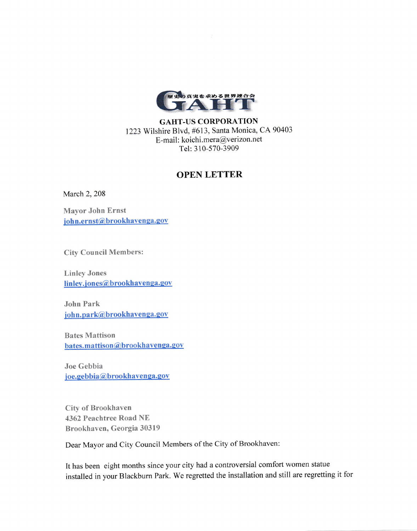

GAIIT-US CORPORATION 1223 Wilshire Blvd, #613, Santa Monica, CA 90403 E-mail: koichi.mera@verizon.net Tel: 3 10-570-3909

## OPEN LETTER

March 2, 208

Mayor John Ernst john.ernst@brookhavenga.gov

City Council Members:

Linley Jones linley.jones@brookhavenga.gov

John Park iohn.park@brookhavenga.gov

Bates Maffison bates. mattison @brookhavenga.gov

Joe Gebbia joe.gebbia@brookhavenga.gov

City of Brookhaven 4362 Peachtree Road NE Brookhaven, Georgia 30319

Dear Mayor and City Council Members of the City of Brookhaven:

It has been eight months since your city had a controversial comfort women statue installed in your Blackburn Park. We regretted the installation and still are regretting it for